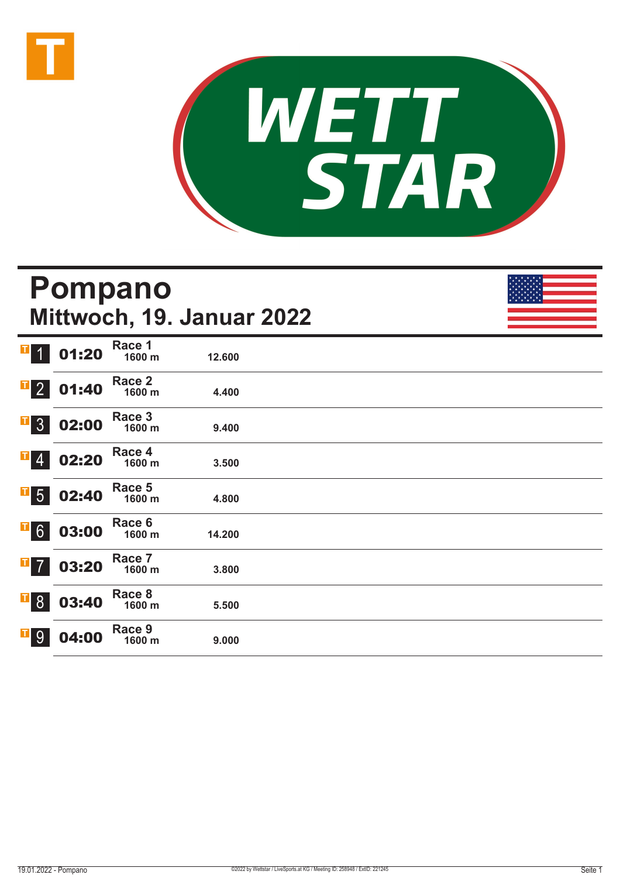



### **Pompano Mittwoch, 19. Januar 2022** 1 01:20 **Race 1 1600 m 12.600**  2 01:40 **Race 2 1600 m 4.400**  3 02:00 **Race 3 1600 m 9.400**  02:20 **Race 4 1600 m 3.500**  5 02:40 **Race 5 1600 m 4.800**  03:00 **Race 6 1600 m 14.200**  03:20 **Race 7 1600 m 3.800**  8 03:40 **Race 8 1600 m 5.500**  9 04:00 **Race 9 1600 m 9.000**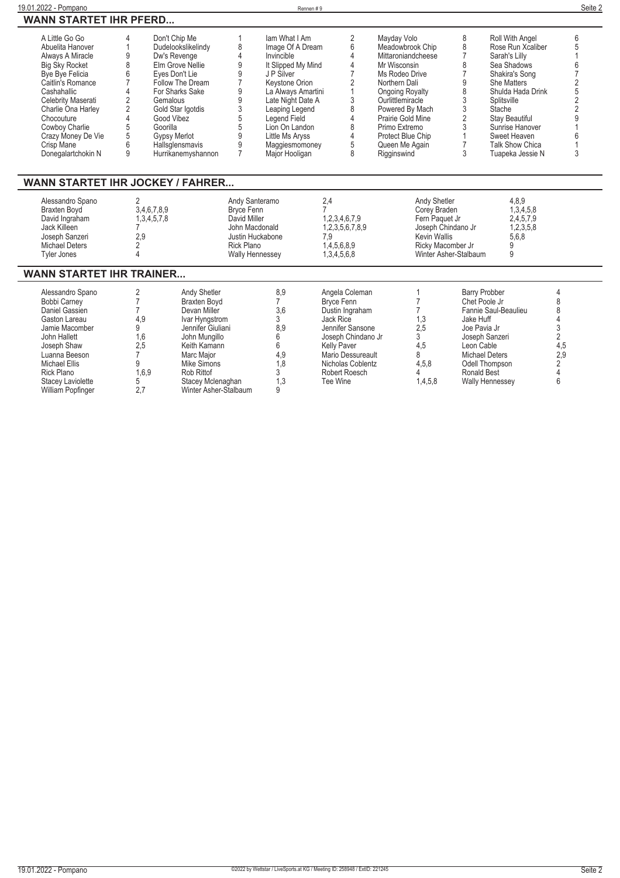| 19.01.2022 - Pompano                                                                                                                                                                                                                                                         |                                                                                                                                                                         |                                                                                                                                                                                                                             |                                                                       | Rennen#9                                                                                                                                                                                                                                                    |                                                                                                                                                                                                     |                                                                                                                                                |                                                                                                                                                                                                                                                                       |                                                                                                                      |                                                                                                                                                                                                                                                                      | Seite 2                                                                                                 |
|------------------------------------------------------------------------------------------------------------------------------------------------------------------------------------------------------------------------------------------------------------------------------|-------------------------------------------------------------------------------------------------------------------------------------------------------------------------|-----------------------------------------------------------------------------------------------------------------------------------------------------------------------------------------------------------------------------|-----------------------------------------------------------------------|-------------------------------------------------------------------------------------------------------------------------------------------------------------------------------------------------------------------------------------------------------------|-----------------------------------------------------------------------------------------------------------------------------------------------------------------------------------------------------|------------------------------------------------------------------------------------------------------------------------------------------------|-----------------------------------------------------------------------------------------------------------------------------------------------------------------------------------------------------------------------------------------------------------------------|----------------------------------------------------------------------------------------------------------------------|----------------------------------------------------------------------------------------------------------------------------------------------------------------------------------------------------------------------------------------------------------------------|---------------------------------------------------------------------------------------------------------|
| <b>WANN STARTET IHR PFERD</b>                                                                                                                                                                                                                                                |                                                                                                                                                                         |                                                                                                                                                                                                                             |                                                                       |                                                                                                                                                                                                                                                             |                                                                                                                                                                                                     |                                                                                                                                                |                                                                                                                                                                                                                                                                       |                                                                                                                      |                                                                                                                                                                                                                                                                      |                                                                                                         |
| A Little Go Go<br>Abuelita Hanover<br>Always A Miracle<br><b>Big Sky Rocket</b><br>Bye Bye Felicia<br>Caitlin's Romance<br>Cashahallic<br>Celebrity Maserati<br>Charlie Ona Harley<br>Chocouture<br>Cowboy Charlie<br>Crazy Money De Vie<br>Crisp Mane<br>Donegalartchokin N | 4<br>$\mathbf{1}$<br>9<br>8<br>6<br>$\overline{7}$<br>4<br>$\overline{2}$<br>Gemalous<br>$\overline{2}$<br>$\overline{4}$<br>Good Vibez<br>5<br>Goorilla<br>5<br>6<br>9 | Don't Chip Me<br>Dudelookslikelindy<br>Dw's Revenge<br>Elm Grove Nellie<br>Eves Don't Lie<br>Follow The Dream<br>For Sharks Sake<br>Gold Star Igotdis<br><b>Gypsy Merlot</b><br>Hallsglensmavis<br>Hurrikanemyshannon       | 8<br>4<br>9<br>9<br>9<br>9<br>3<br>5<br>5<br>9<br>9<br>$\overline{7}$ | lam What I Am<br>Image Of A Dream<br>Invincible<br>It Slipped My Mind<br>J P Silver<br>Keystone Orion<br>La Always Amartini<br>Late Night Date A<br>Leaping Legend<br>Legend Field<br>Lion On Landon<br>Little Ms Aryss<br>Maggiesmomoney<br>Major Hooligan |                                                                                                                                                                                                     | 2<br>6<br>4<br>$\overline{4}$<br>$\overline{7}$<br>$\overline{2}$<br>$\mathbf{1}$<br>3<br>8<br>$\overline{4}$<br>8<br>$\overline{4}$<br>5<br>8 | Mayday Volo<br>Meadowbrook Chip<br>Mittaroniandcheese<br>Mr Wisconsin<br>Ms Rodeo Drive<br>Northern Dali<br><b>Ongoing Royalty</b><br>Ourlittlemiracle<br>Powered By Mach<br>Prairie Gold Mine<br>Primo Extremo<br>Protect Blue Chip<br>Queen Me Again<br>Rigginswind | 8<br>8<br>$\overline{7}$<br>8<br>$\overline{7}$<br>9<br>8<br>3<br>3<br>2<br>3<br>$\mathbf{1}$<br>$\overline{7}$<br>3 | Roll With Angel<br>Rose Run Xcaliber<br>Sarah's Lilly<br>Sea Shadows<br>Shakira's Song<br><b>She Matters</b><br>Shulda Hada Drink<br>Splitsville<br>Stache<br><b>Stay Beautiful</b><br>Sunrise Hanover<br>Sweet Heaven<br><b>Talk Show Chica</b><br>Tuapeka Jessie N | 6<br>5<br>6<br>$\overline{7}$<br>$\overline{2}$<br>5<br>$\overline{2}$<br>$\overline{2}$<br>9<br>ĥ<br>3 |
| <b>WANN STARTET IHR JOCKEY / FAHRER</b>                                                                                                                                                                                                                                      |                                                                                                                                                                         |                                                                                                                                                                                                                             |                                                                       |                                                                                                                                                                                                                                                             |                                                                                                                                                                                                     |                                                                                                                                                |                                                                                                                                                                                                                                                                       |                                                                                                                      |                                                                                                                                                                                                                                                                      |                                                                                                         |
| Alessandro Spano<br><b>Braxten Boyd</b><br>David Ingraham<br>Jack Killeen<br>Joseph Sanzeri<br><b>Michael Deters</b><br><b>Tyler Jones</b>                                                                                                                                   | 2<br>3,4,6,7,8,9<br>1,3,4,5,7,8<br>2,9<br>$\overline{2}$<br>$\overline{4}$                                                                                              |                                                                                                                                                                                                                             | <b>Bryce Fenn</b><br>David Miller<br>Rick Plano                       | Andy Santeramo<br>John Macdonald<br>Justin Huckabone<br><b>Wally Hennessey</b>                                                                                                                                                                              | 2,4<br>7<br>1,2,3,4,6,7,9<br>1,2,3,5,6,7,8,9<br>7.9<br>1,4,5,6,8,9<br>1,3,4,5,6,8                                                                                                                   |                                                                                                                                                | Andy Shetler<br>Corey Braden<br>Fern Paquet Jr<br>Joseph Chindano Jr<br><b>Kevin Wallis</b><br>Ricky Macomber Jr                                                                                                                                                      | Winter Asher-Stalbaum                                                                                                | 4,8,9<br>1,3,4,5,8<br>2,4,5,7,9<br>1,2,3,5,8<br>5.6.8<br>9<br>9                                                                                                                                                                                                      |                                                                                                         |
| <b>WANN STARTET IHR TRAINER</b>                                                                                                                                                                                                                                              |                                                                                                                                                                         |                                                                                                                                                                                                                             |                                                                       |                                                                                                                                                                                                                                                             |                                                                                                                                                                                                     |                                                                                                                                                |                                                                                                                                                                                                                                                                       |                                                                                                                      |                                                                                                                                                                                                                                                                      |                                                                                                         |
| Alessandro Spano<br>Bobbi Carney<br>Daniel Gassien<br>Gaston Lareau<br>Jamie Macomber<br>John Hallett<br>Joseph Shaw<br>Luanna Beeson<br>Michael Ellis<br><b>Rick Plano</b><br><b>Stacey Laviolette</b><br>William Popfinger                                                 | $\overline{2}$<br>$\overline{7}$<br>$\overline{7}$<br>4,9<br>9<br>1,6<br>2,5<br>$\overline{7}$<br>9<br>1,6,9<br>5<br>2,7                                                | Andy Shetler<br><b>Braxten Boyd</b><br>Devan Miller<br>Ivar Hyngstrom<br>Jennifer Giuliani<br>John Mungillo<br>Keith Kamann<br>Marc Major<br><b>Mike Simons</b><br>Rob Rittof<br>Stacey Mclenaghan<br>Winter Asher-Stalbaum |                                                                       | 8,9<br>$\overline{7}$<br>3,6<br>3<br>8.9<br>6<br>6<br>4,9<br>1,8<br>3<br>1,3<br>9                                                                                                                                                                           | Angela Coleman<br>Bryce Fenn<br>Dustin Ingraham<br>Jack Rice<br>Jennifer Sansone<br>Joseph Chindano Jr<br><b>Kelly Paver</b><br>Mario Dessureault<br>Nicholas Coblentz<br>Robert Roesch<br>Tee Wine |                                                                                                                                                | $\overline{7}$<br>$\overline{7}$<br>1,3<br>2,5<br>3<br>4,5<br>8<br>4,5,8<br>4<br>1,4,5,8                                                                                                                                                                              | <b>Barry Probber</b><br>Chet Poole Jr<br>Jake Huff<br>Joe Pavia Jr<br>Leon Cable<br><b>Ronald Best</b>               | Fannie Saul-Beaulieu<br>Joseph Sanzeri<br>Michael Deters<br>Odell Thompson<br>Wally Hennessey                                                                                                                                                                        | 4<br>8<br>8<br>4<br>3<br>$\overline{2}$<br>4,5<br>2,9<br>$\overline{2}$<br>$\overline{4}$<br>6          |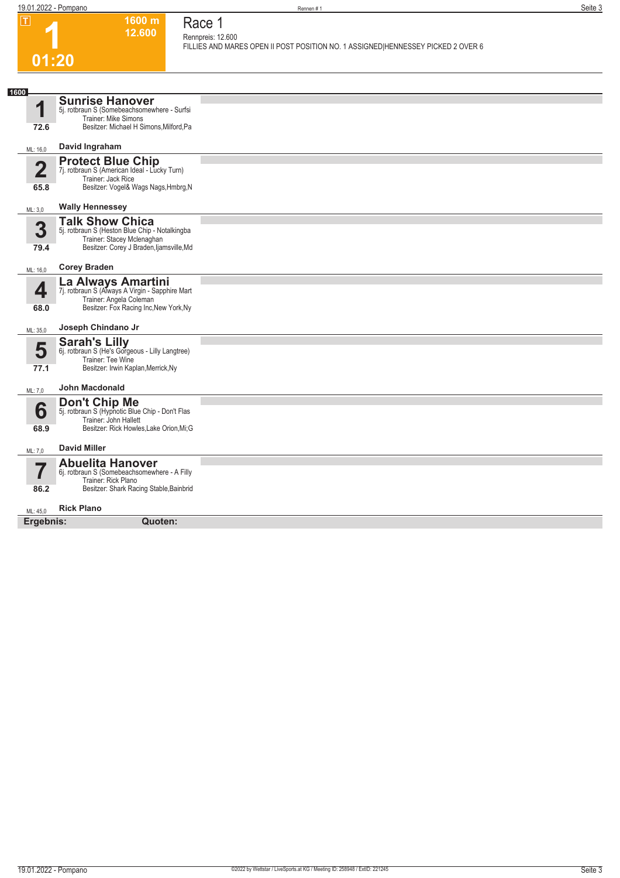**1600 m 12.600** 

**Race 1 Rennpreis: 12.600**

**FILLIES AND MARES OPEN II POST POSITION NO. 1 ASSIGNED|HENNESSEY PICKED 2 OVER 6** 

## **1 01:20**

| U I I AU               |                                                                                                                                                    |  |
|------------------------|----------------------------------------------------------------------------------------------------------------------------------------------------|--|
| 1600                   |                                                                                                                                                    |  |
| 1<br>72.6              | <b>Sunrise Hanover</b><br>5j. rotbraun S (Somebeachsomewhere - Surfsi<br>Trainer: Mike Simons<br>Besitzer: Michael H Simons, Milford, Pa           |  |
| ML: 16,0               | David Ingraham                                                                                                                                     |  |
| $\overline{2}$<br>65.8 | <b>Protect Blue Chip</b><br>7j. rotbraun S (American Ideal - Lucky Turn)<br>Trainer: Jack Rice<br>Besitzer: Vogel& Wags Nags, Hmbrg, N             |  |
| ML: 3,0                | <b>Wally Hennessey</b>                                                                                                                             |  |
| 3<br>79.4              | <b>Talk Show Chica</b><br>5j. rotbraun S (Heston Blue Chip - Notalkingba<br>Trainer: Stacey Mclenaghan<br>Besitzer: Corey J Braden, Ijamsville, Md |  |
| ML: 16,0               | <b>Corey Braden</b>                                                                                                                                |  |
| 4<br>68.0              | La Always Amartini<br>7j. rotbraun S (Always A Virgin - Sapphire Mart<br>Trainer: Angela Coleman<br>Besitzer: Fox Racing Inc, New York, Ny         |  |
| ML: 35,0               | Joseph Chindano Jr                                                                                                                                 |  |
| 5<br>77.1              | <b>Sarah's Lilly</b><br>6j. rotbraun S (He's Gorgeous - Lilly Langtree)<br>Trainer: Tee Wine<br>Besitzer: Irwin Kaplan, Merrick, Ny                |  |
| ML: 7,0                | John Macdonald                                                                                                                                     |  |
| 6<br>68.9              | Don't Chip Me<br>5j. rotbraun S (Hypnotic Blue Chip - Don't Flas<br>Trainer: John Hallett<br>Besitzer: Rick Howles, Lake Orion, Mi; G              |  |
| ML: 7,0                | <b>David Miller</b>                                                                                                                                |  |
| 7<br>86.2              | <b>Abuelita Hanover</b><br>6j. rotbraun S (Somebeachsomewhere - A Filly<br>Trainer: Rick Plano<br>Besitzer: Shark Racing Stable, Bainbrid          |  |
| ML: 45,0               | <b>Rick Plano</b>                                                                                                                                  |  |
| Ergebnis:              | Quoten:                                                                                                                                            |  |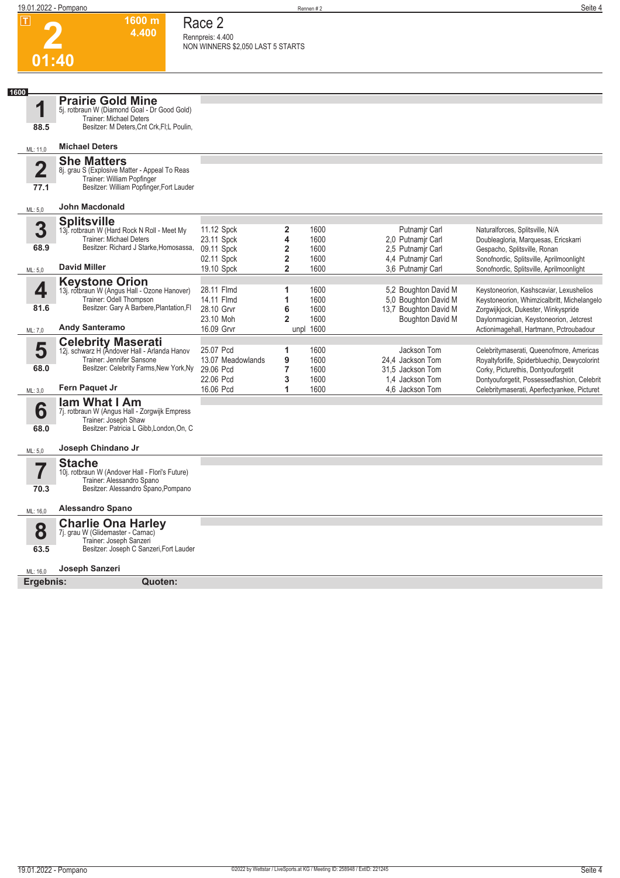**1600 m**

**Race 2**

**2**

|                         | 4.400                                                                                                                        | Rennpreis: 4.400<br>NON WINNERS \$2,050 LAST 5 STARTS |                |                   |                       |                                                                                    |
|-------------------------|------------------------------------------------------------------------------------------------------------------------------|-------------------------------------------------------|----------------|-------------------|-----------------------|------------------------------------------------------------------------------------|
| 01:40                   |                                                                                                                              |                                                       |                |                   |                       |                                                                                    |
|                         |                                                                                                                              |                                                       |                |                   |                       |                                                                                    |
| 1600                    | <b>Prairie Gold Mine</b>                                                                                                     |                                                       |                |                   |                       |                                                                                    |
| 1<br>88.5               | 5j. rotbraun W (Diamond Goal - Dr Good Gold)<br><b>Trainer: Michael Deters</b><br>Besitzer: M Deters, Cnt Crk, FI; L Poulin, |                                                       |                |                   |                       |                                                                                    |
| ML: 11,0                | <b>Michael Deters</b>                                                                                                        |                                                       |                |                   |                       |                                                                                    |
|                         | <b>She Matters</b>                                                                                                           |                                                       |                |                   |                       |                                                                                    |
| $\overline{\mathbf{2}}$ | 8j. grau S (Explosive Matter - Appeal To Reas<br>Trainer: William Popfinger                                                  |                                                       |                |                   |                       |                                                                                    |
| 77.1                    | Besitzer: William Popfinger, Fort Lauder                                                                                     |                                                       |                |                   |                       |                                                                                    |
| ML: 5,0                 | <b>John Macdonald</b>                                                                                                        |                                                       |                |                   |                       |                                                                                    |
| 3                       | <b>Splitsville</b>                                                                                                           |                                                       |                |                   | Putnamir Carl         |                                                                                    |
|                         | 13j. rotbraun W (Hard Rock N Roll - Meet My<br><b>Trainer: Michael Deters</b>                                                | 11.12 Spck<br>23.11 Spck                              | 2<br>4         | 1600<br>1600      | 2.0 Putnamir Carl     | Naturalforces, Splitsville, N/A<br>Doubleagloria, Marquesas, Ericskarri            |
| 68.9                    | Besitzer: Richard J Starke, Homosassa,                                                                                       | 09.11 Spck                                            | 2              | 1600              | 2,5 Putnamjr Carl     | Gespacho, Splitsville, Ronan                                                       |
|                         |                                                                                                                              | 02.11 Spck                                            | 2              | 1600              | 4.4 Putnamir Carl     | Sonofnordic, Splitsville, Aprilmoonlight                                           |
| ML: 5,0                 | <b>David Miller</b>                                                                                                          | 19.10 Spck                                            | $\overline{2}$ | 1600              | 3.6 Putnamir Carl     | Sonofnordic, Splitsville, Aprilmoonlight                                           |
|                         | <b>Keystone Orion</b>                                                                                                        |                                                       |                |                   |                       |                                                                                    |
| 4                       | 13j. rotbraun W (Angus Hall - Ozone Hanover)                                                                                 | 28.11 Flmd                                            | 1              | 1600              | 5,2 Boughton David M  | Keystoneorion, Kashscaviar, Lexushelios                                            |
|                         | Trainer: Odell Thompson                                                                                                      | 14.11 Flmd                                            | 1              | 1600              | 5,0 Boughton David M  | Keystoneorion, Whimzicalbritt, Michelangelo                                        |
| 81.6                    | Besitzer: Gary A Barbere, Plantation, Fl                                                                                     | 28.10 Grvr                                            | 6              | 1600              | 13,7 Boughton David M | Zorgwijkjock, Dukester, Winkyspride                                                |
| ML: 7,0                 | <b>Andy Santeramo</b>                                                                                                        | 23.10 Moh<br>16.09 Grvr                               | $\overline{2}$ | 1600<br>unpl 1600 | Boughton David M      | Daylonmagician, Keystoneorion, Jetcrest<br>Actionimagehall, Hartmann, Pctroubadour |
|                         |                                                                                                                              |                                                       |                |                   |                       |                                                                                    |
| 5                       | <b>Celebrity Maserati</b><br>12j. schwarz H (Andover Hall - Arlanda Hanov                                                    | 25.07 Pcd                                             | 1              | 1600              | Jackson Tom           | Celebritymaserati, Queenofmore, Americas                                           |
|                         | Trainer: Jennifer Sansone                                                                                                    | 13.07 Meadowlands                                     | 9              | 1600              | 24.4 Jackson Tom      | Royaltyforlife, Spiderbluechip, Dewycolorint                                       |
| 68.0                    | Besitzer: Celebrity Farms, New York, Ny                                                                                      | 29.06 Pcd                                             | 7              | 1600              | 31,5 Jackson Tom      | Corky, Picturethis, Dontyouforgetit                                                |
|                         |                                                                                                                              | 22.06 Pcd                                             | 3              | 1600              | 1.4 Jackson Tom       | Dontyouforgetit, Possessedfashion, Celebrit                                        |
| ML: 3,0                 | Fern Paquet Jr                                                                                                               | 16.06 Pcd                                             | 1              | 1600              | 4,6 Jackson Tom       | Celebritymaserati, Aperfectyankee, Picturet                                        |
|                         | <b>lam What I Am</b>                                                                                                         |                                                       |                |                   |                       |                                                                                    |
| 6                       | 7j. rotbraun W (Angus Hall - Zorgwijk Empress                                                                                |                                                       |                |                   |                       |                                                                                    |
| 68.0                    | Trainer: Joseph Shaw<br>Besitzer: Patricia L Gibb, London, On, C                                                             |                                                       |                |                   |                       |                                                                                    |
| ML: 5,0                 | Joseph Chindano Jr                                                                                                           |                                                       |                |                   |                       |                                                                                    |
|                         | <b>Stache</b>                                                                                                                |                                                       |                |                   |                       |                                                                                    |
|                         | 10j. rotbraun W (Andover Hall - Flori's Future)                                                                              |                                                       |                |                   |                       |                                                                                    |
| 70.3                    | Trainer: Alessandro Spano<br>Besitzer: Alessandro Spano, Pompano                                                             |                                                       |                |                   |                       |                                                                                    |
| ML: 16,0                | <b>Alessandro Spano</b>                                                                                                      |                                                       |                |                   |                       |                                                                                    |
|                         | <b>Charlie Ona Harley</b>                                                                                                    |                                                       |                |                   |                       |                                                                                    |
| 8                       | 7j. grau W (Glidemaster - Carnac)                                                                                            |                                                       |                |                   |                       |                                                                                    |
|                         | Trainer: Joseph Sanzeri                                                                                                      |                                                       |                |                   |                       |                                                                                    |
| 63.5                    | Besitzer: Joseph C Sanzeri, Fort Lauder                                                                                      |                                                       |                |                   |                       |                                                                                    |
| ML: 16,0                | Joseph Sanzeri                                                                                                               |                                                       |                |                   |                       |                                                                                    |
| Ergebnis:               | Quoten:                                                                                                                      |                                                       |                |                   |                       |                                                                                    |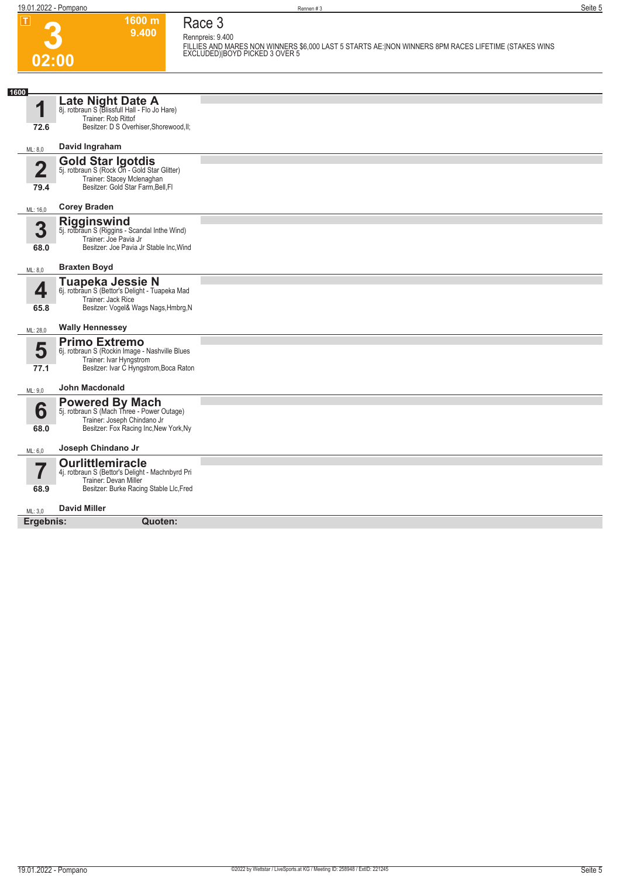**02:00**

**3**

**Race 3**

**1600 m**

**9.400 Rennpreis: 9.400 FILLIES AND MARES NON WINNERS \$6,000 LAST 5 STARTS AE:|NON WINNERS 8PM RACES LIFETIME (STAKES WINS EXCLUDED)|BOYD PICKED 3 OVER 5** 

| 1600                            |                                                                                                                                                 |  |
|---------------------------------|-------------------------------------------------------------------------------------------------------------------------------------------------|--|
| 1<br>72.6                       | Late Night Date A<br>8j. rotbraun S (Blissfull Hall - Flo Jo Hare)<br>Trainer: Rob Rittof<br>Besitzer: D S Overhiser, Shorewood, II;            |  |
| ML: 8,0                         | David Ingraham                                                                                                                                  |  |
| $\overline{\mathbf{2}}$<br>79.4 | <b>Gold Star Igotdis</b><br>5j. rotbraun S (Rock On - Gold Star Glitter)<br>Trainer: Stacey Mclenaghan<br>Besitzer: Gold Star Farm, Bell, Fl    |  |
| ML: 16,0                        | <b>Corey Braden</b>                                                                                                                             |  |
| 3<br>68.0                       | <b>Rigginswind</b><br>5j. rotbraun S (Riggins - Scandal Inthe Wind)<br>Trainer: Joe Pavia Jr<br>Besitzer: Joe Pavia Jr Stable Inc, Wind         |  |
| ML: 8,0                         | <b>Braxten Boyd</b>                                                                                                                             |  |
| 4<br>65.8                       | Tuapeka Jessie N<br>6j. rotbraun S (Bettor's Delight - Tuapeka Mad<br>Trainer: Jack Rice<br>Besitzer: Vogel& Wags Nags, Hmbrg, N                |  |
| ML: 28,0                        | <b>Wally Hennessey</b>                                                                                                                          |  |
| 5<br>77.1                       | <b>Primo Extremo</b><br>6j. rotbraun S (Rockin Image - Nashville Blues<br>Trainer: Ivar Hyngstrom<br>Besitzer: Ivar C Hyngstrom, Boca Raton     |  |
| ML: 9,0                         | <b>John Macdonald</b>                                                                                                                           |  |
| 6<br>68.0                       | <b>Powered By Mach</b><br>5j. rotbraun S (Mach Three - Power Outage)<br>Trainer: Joseph Chindano Jr<br>Besitzer: Fox Racing Inc, New York, Ny   |  |
| ML: 6,0                         | Joseph Chindano Jr                                                                                                                              |  |
| 57<br>68.9                      | <b>Ourlittlemiracle</b><br>4j. rotbraun S (Bettor's Delight - Machnbyrd Pri<br>Trainer: Devan Miller<br>Besitzer: Burke Racing Stable Llc, Fred |  |
| ML: 3.0                         | <b>David Miller</b>                                                                                                                             |  |
| Ergebnis:                       | Quoten:                                                                                                                                         |  |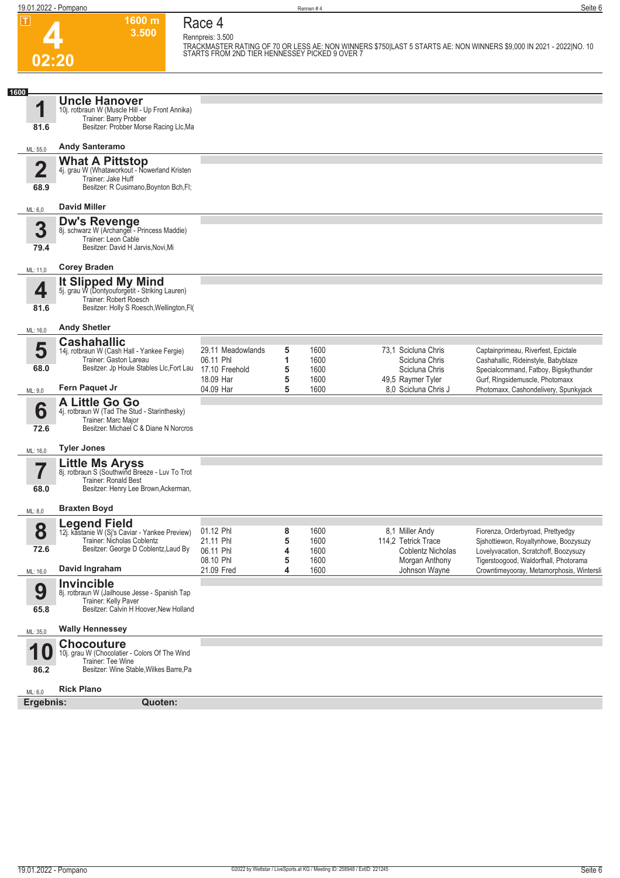**4**

**TRACKMASTER RATING OF 70 OR LESS AE: NON WINNERS \$750|LAST 5 STARTS AE: NON WINNERS \$9,000 IN 2021 - 2022|NO. 10 STARTS FROM 2ND TIER HENNESSEY PICKED 9 OVER 7** 

**1600 m Race 4**

**3.500 Rennpreis: 3.500**

| 1600<br><b>Uncle Hanover</b><br>1<br>10j. rotbraun W (Muscle Hill - Up Front Annika)<br>Trainer: Barry Probber<br>Besitzer: Probber Morse Racing Llc, Ma<br>81.6<br><b>Andy Santeramo</b><br>ML: 55,0<br><b>What A Pittstop</b><br>$\mathbf 2$<br>4j. grau W (Whataworkout - Nowerland Kristen<br>Trainer: Jake Huff<br>Besitzer: R Cusimano, Boynton Bch, Fl;<br>68.9<br><b>David Miller</b><br>ML: 6,0<br><b>Dw's Revenge</b><br>8j. schwarz W (Archangel - Princess Maddie)<br>3<br>Trainer: Leon Cable<br>Besitzer: David H Jarvis, Novi, Mi<br>79.4<br><b>Corey Braden</b><br>ML: 11,0<br><b>It Slipped My Mind</b><br>5j. grau W (Dontyouforgetit - Striking Lauren)<br>4<br>Trainer: Robert Roesch<br>Besitzer: Holly S Roesch, Wellington, Fl(<br>81.6<br><b>Andy Shetler</b><br>ML: 16,0<br><b>Cashahallic</b><br>5<br>1600<br>73,1 Scicluna Chris<br>29.11 Meadowlands<br>5<br>Captainprimeau, Riverfest, Epictale<br>14j. rotbraun W (Cash Hall - Yankee Fergie)<br>Trainer: Gaston Lareau<br>1<br>1600<br>06.11 Phl<br>Scicluna Chris<br>Cashahallic, Rideinstyle, Babyblaze<br>Besitzer: Jp Houle Stables Llc, Fort Lau<br>68.0<br>17.10 Freehold<br>5<br>1600<br>Scicluna Chris<br>18.09 Har<br>5<br>1600<br>49,5 Raymer Tyler<br>Gurf, Ringsidemuscle, Photomaxx<br>Fern Paquet Jr<br>04.09 Har<br>5<br>1600<br>8.0 Scicluna Chris J<br>Photomaxx, Cashondelivery, Spunkyjack<br>ML: 9,0<br>A Little Go Go<br>6<br>4j. rotbraun W (Tad The Stud - Starinthesky)<br>Trainer: Marc Major<br>Besitzer: Michael C & Diane N Norcros<br>72.6<br><b>Tyler Jones</b><br>ML: 16,0<br><b>Little Ms Aryss</b><br>8j. rotbraun S (Southwind Breeze - Luv To Trot<br>$\overline{\phantom{a}}$<br>Trainer: Ronald Best<br>68.0<br>Besitzer: Henry Lee Brown, Ackerman,<br><b>Braxten Boyd</b><br>ML: 8,0<br><b>Legend Field</b><br>8<br>01.12 Phl<br>8<br>1600<br>8,1 Miller Andy<br>Fiorenza, Orderbyroad, Prettyedgy<br>12j. kastanie W (Sj's Caviar - Yankee Preview)<br>Trainer: Nicholas Coblentz<br>21.11 Phl<br>5<br>1600<br>114,2 Tetrick Trace<br>Besitzer: George D Coblentz, Laud By<br>72.6<br>06.11 Phl<br>4<br>1600<br>Coblentz Nicholas<br>Lovelyvacation, Scratchoff, Boozysuzy<br>5<br>08.10 Phl<br>1600<br>Morgan Anthony<br>Tigerstoogood, Waldorfhall, Photorama<br>David Ingraham<br>21.09 Fred<br>4<br>1600<br>Johnson Wayne<br>ML: 16,0<br><b>Invincible</b><br>9<br>8j. rotbraun W (Jailhouse Jesse - Spanish Tap<br>Trainer: Kelly Paver<br>Besitzer: Calvin H Hoover, New Holland<br>65.8<br><b>Wally Hennessey</b><br>ML: 35,0<br><b>Chocouture</b><br>10<br>10j. grau W (Chocolatier - Colors Of The Wind<br>Trainer: Tee Wine<br>Besitzer: Wine Stable, Wilkes Barre, Pa<br>86.2<br><b>Rick Plano</b><br>ML: 6,0<br>Ergebnis:<br>Quoten: | 02:20 | STARTS FROM 2ND TIER HENNESSEY PICKED 9 OVER 7 |  |                                           |
|-------------------------------------------------------------------------------------------------------------------------------------------------------------------------------------------------------------------------------------------------------------------------------------------------------------------------------------------------------------------------------------------------------------------------------------------------------------------------------------------------------------------------------------------------------------------------------------------------------------------------------------------------------------------------------------------------------------------------------------------------------------------------------------------------------------------------------------------------------------------------------------------------------------------------------------------------------------------------------------------------------------------------------------------------------------------------------------------------------------------------------------------------------------------------------------------------------------------------------------------------------------------------------------------------------------------------------------------------------------------------------------------------------------------------------------------------------------------------------------------------------------------------------------------------------------------------------------------------------------------------------------------------------------------------------------------------------------------------------------------------------------------------------------------------------------------------------------------------------------------------------------------------------------------------------------------------------------------------------------------------------------------------------------------------------------------------------------------------------------------------------------------------------------------------------------------------------------------------------------------------------------------------------------------------------------------------------------------------------------------------------------------------------------------------------------------------------------------------------------------------------------------------------------------------------------------------------------------------------------------------------------------------------------------------------------------------------------------------------------------------------------------------|-------|------------------------------------------------|--|-------------------------------------------|
|                                                                                                                                                                                                                                                                                                                                                                                                                                                                                                                                                                                                                                                                                                                                                                                                                                                                                                                                                                                                                                                                                                                                                                                                                                                                                                                                                                                                                                                                                                                                                                                                                                                                                                                                                                                                                                                                                                                                                                                                                                                                                                                                                                                                                                                                                                                                                                                                                                                                                                                                                                                                                                                                                                                                                                         |       |                                                |  |                                           |
|                                                                                                                                                                                                                                                                                                                                                                                                                                                                                                                                                                                                                                                                                                                                                                                                                                                                                                                                                                                                                                                                                                                                                                                                                                                                                                                                                                                                                                                                                                                                                                                                                                                                                                                                                                                                                                                                                                                                                                                                                                                                                                                                                                                                                                                                                                                                                                                                                                                                                                                                                                                                                                                                                                                                                                         |       |                                                |  |                                           |
|                                                                                                                                                                                                                                                                                                                                                                                                                                                                                                                                                                                                                                                                                                                                                                                                                                                                                                                                                                                                                                                                                                                                                                                                                                                                                                                                                                                                                                                                                                                                                                                                                                                                                                                                                                                                                                                                                                                                                                                                                                                                                                                                                                                                                                                                                                                                                                                                                                                                                                                                                                                                                                                                                                                                                                         |       |                                                |  |                                           |
|                                                                                                                                                                                                                                                                                                                                                                                                                                                                                                                                                                                                                                                                                                                                                                                                                                                                                                                                                                                                                                                                                                                                                                                                                                                                                                                                                                                                                                                                                                                                                                                                                                                                                                                                                                                                                                                                                                                                                                                                                                                                                                                                                                                                                                                                                                                                                                                                                                                                                                                                                                                                                                                                                                                                                                         |       |                                                |  |                                           |
|                                                                                                                                                                                                                                                                                                                                                                                                                                                                                                                                                                                                                                                                                                                                                                                                                                                                                                                                                                                                                                                                                                                                                                                                                                                                                                                                                                                                                                                                                                                                                                                                                                                                                                                                                                                                                                                                                                                                                                                                                                                                                                                                                                                                                                                                                                                                                                                                                                                                                                                                                                                                                                                                                                                                                                         |       |                                                |  |                                           |
|                                                                                                                                                                                                                                                                                                                                                                                                                                                                                                                                                                                                                                                                                                                                                                                                                                                                                                                                                                                                                                                                                                                                                                                                                                                                                                                                                                                                                                                                                                                                                                                                                                                                                                                                                                                                                                                                                                                                                                                                                                                                                                                                                                                                                                                                                                                                                                                                                                                                                                                                                                                                                                                                                                                                                                         |       |                                                |  |                                           |
|                                                                                                                                                                                                                                                                                                                                                                                                                                                                                                                                                                                                                                                                                                                                                                                                                                                                                                                                                                                                                                                                                                                                                                                                                                                                                                                                                                                                                                                                                                                                                                                                                                                                                                                                                                                                                                                                                                                                                                                                                                                                                                                                                                                                                                                                                                                                                                                                                                                                                                                                                                                                                                                                                                                                                                         |       |                                                |  |                                           |
|                                                                                                                                                                                                                                                                                                                                                                                                                                                                                                                                                                                                                                                                                                                                                                                                                                                                                                                                                                                                                                                                                                                                                                                                                                                                                                                                                                                                                                                                                                                                                                                                                                                                                                                                                                                                                                                                                                                                                                                                                                                                                                                                                                                                                                                                                                                                                                                                                                                                                                                                                                                                                                                                                                                                                                         |       |                                                |  |                                           |
|                                                                                                                                                                                                                                                                                                                                                                                                                                                                                                                                                                                                                                                                                                                                                                                                                                                                                                                                                                                                                                                                                                                                                                                                                                                                                                                                                                                                                                                                                                                                                                                                                                                                                                                                                                                                                                                                                                                                                                                                                                                                                                                                                                                                                                                                                                                                                                                                                                                                                                                                                                                                                                                                                                                                                                         |       |                                                |  |                                           |
|                                                                                                                                                                                                                                                                                                                                                                                                                                                                                                                                                                                                                                                                                                                                                                                                                                                                                                                                                                                                                                                                                                                                                                                                                                                                                                                                                                                                                                                                                                                                                                                                                                                                                                                                                                                                                                                                                                                                                                                                                                                                                                                                                                                                                                                                                                                                                                                                                                                                                                                                                                                                                                                                                                                                                                         |       |                                                |  | Specialcommand, Fatboy, Bigskythunder     |
|                                                                                                                                                                                                                                                                                                                                                                                                                                                                                                                                                                                                                                                                                                                                                                                                                                                                                                                                                                                                                                                                                                                                                                                                                                                                                                                                                                                                                                                                                                                                                                                                                                                                                                                                                                                                                                                                                                                                                                                                                                                                                                                                                                                                                                                                                                                                                                                                                                                                                                                                                                                                                                                                                                                                                                         |       |                                                |  |                                           |
|                                                                                                                                                                                                                                                                                                                                                                                                                                                                                                                                                                                                                                                                                                                                                                                                                                                                                                                                                                                                                                                                                                                                                                                                                                                                                                                                                                                                                                                                                                                                                                                                                                                                                                                                                                                                                                                                                                                                                                                                                                                                                                                                                                                                                                                                                                                                                                                                                                                                                                                                                                                                                                                                                                                                                                         |       |                                                |  |                                           |
|                                                                                                                                                                                                                                                                                                                                                                                                                                                                                                                                                                                                                                                                                                                                                                                                                                                                                                                                                                                                                                                                                                                                                                                                                                                                                                                                                                                                                                                                                                                                                                                                                                                                                                                                                                                                                                                                                                                                                                                                                                                                                                                                                                                                                                                                                                                                                                                                                                                                                                                                                                                                                                                                                                                                                                         |       |                                                |  |                                           |
|                                                                                                                                                                                                                                                                                                                                                                                                                                                                                                                                                                                                                                                                                                                                                                                                                                                                                                                                                                                                                                                                                                                                                                                                                                                                                                                                                                                                                                                                                                                                                                                                                                                                                                                                                                                                                                                                                                                                                                                                                                                                                                                                                                                                                                                                                                                                                                                                                                                                                                                                                                                                                                                                                                                                                                         |       |                                                |  |                                           |
|                                                                                                                                                                                                                                                                                                                                                                                                                                                                                                                                                                                                                                                                                                                                                                                                                                                                                                                                                                                                                                                                                                                                                                                                                                                                                                                                                                                                                                                                                                                                                                                                                                                                                                                                                                                                                                                                                                                                                                                                                                                                                                                                                                                                                                                                                                                                                                                                                                                                                                                                                                                                                                                                                                                                                                         |       |                                                |  |                                           |
|                                                                                                                                                                                                                                                                                                                                                                                                                                                                                                                                                                                                                                                                                                                                                                                                                                                                                                                                                                                                                                                                                                                                                                                                                                                                                                                                                                                                                                                                                                                                                                                                                                                                                                                                                                                                                                                                                                                                                                                                                                                                                                                                                                                                                                                                                                                                                                                                                                                                                                                                                                                                                                                                                                                                                                         |       |                                                |  | Sishottiewon, Royaltynhowe, Boozysuzy     |
|                                                                                                                                                                                                                                                                                                                                                                                                                                                                                                                                                                                                                                                                                                                                                                                                                                                                                                                                                                                                                                                                                                                                                                                                                                                                                                                                                                                                                                                                                                                                                                                                                                                                                                                                                                                                                                                                                                                                                                                                                                                                                                                                                                                                                                                                                                                                                                                                                                                                                                                                                                                                                                                                                                                                                                         |       |                                                |  | Crowntimeyooray, Metamorphosis, Wintersli |
|                                                                                                                                                                                                                                                                                                                                                                                                                                                                                                                                                                                                                                                                                                                                                                                                                                                                                                                                                                                                                                                                                                                                                                                                                                                                                                                                                                                                                                                                                                                                                                                                                                                                                                                                                                                                                                                                                                                                                                                                                                                                                                                                                                                                                                                                                                                                                                                                                                                                                                                                                                                                                                                                                                                                                                         |       |                                                |  |                                           |
|                                                                                                                                                                                                                                                                                                                                                                                                                                                                                                                                                                                                                                                                                                                                                                                                                                                                                                                                                                                                                                                                                                                                                                                                                                                                                                                                                                                                                                                                                                                                                                                                                                                                                                                                                                                                                                                                                                                                                                                                                                                                                                                                                                                                                                                                                                                                                                                                                                                                                                                                                                                                                                                                                                                                                                         |       |                                                |  |                                           |
|                                                                                                                                                                                                                                                                                                                                                                                                                                                                                                                                                                                                                                                                                                                                                                                                                                                                                                                                                                                                                                                                                                                                                                                                                                                                                                                                                                                                                                                                                                                                                                                                                                                                                                                                                                                                                                                                                                                                                                                                                                                                                                                                                                                                                                                                                                                                                                                                                                                                                                                                                                                                                                                                                                                                                                         |       |                                                |  |                                           |
|                                                                                                                                                                                                                                                                                                                                                                                                                                                                                                                                                                                                                                                                                                                                                                                                                                                                                                                                                                                                                                                                                                                                                                                                                                                                                                                                                                                                                                                                                                                                                                                                                                                                                                                                                                                                                                                                                                                                                                                                                                                                                                                                                                                                                                                                                                                                                                                                                                                                                                                                                                                                                                                                                                                                                                         |       |                                                |  |                                           |
|                                                                                                                                                                                                                                                                                                                                                                                                                                                                                                                                                                                                                                                                                                                                                                                                                                                                                                                                                                                                                                                                                                                                                                                                                                                                                                                                                                                                                                                                                                                                                                                                                                                                                                                                                                                                                                                                                                                                                                                                                                                                                                                                                                                                                                                                                                                                                                                                                                                                                                                                                                                                                                                                                                                                                                         |       |                                                |  |                                           |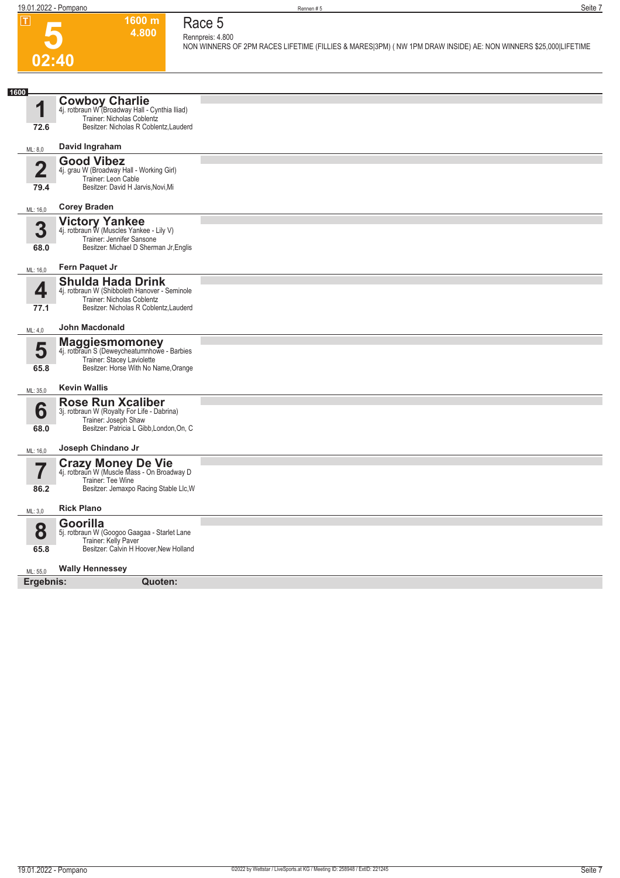# **5 02:40**

## **Race 5**

**1600 m 4.800** 

**Rennpreis: 4.800 NON WINNERS OF 2PM RACES LIFETIME (FILLIES & MARES|3PM) ( NW 1PM DRAW INSIDE) AE: NON WINNERS \$25,000|LIFETIME** 

| 1600                   |                                                                                                                                                   |  |
|------------------------|---------------------------------------------------------------------------------------------------------------------------------------------------|--|
| 1                      | <b>Cowboy Charlie</b><br>4j. rotbraun W (Broadway Hall - Cynthia Iliad)<br>Trainer: Nicholas Coblentz                                             |  |
| 72.6                   | Besitzer: Nicholas R Coblentz, Lauderd                                                                                                            |  |
| ML: 8,0                | David Ingraham                                                                                                                                    |  |
| $\overline{2}$<br>79.4 | <b>Good Vibez</b><br>4j. grau W (Broadway Hall - Working Girl)<br>Trainer: Leon Cable<br>Besitzer: David H Jarvis, Novi, Mi                       |  |
| ML: 16,0               | <b>Corey Braden</b>                                                                                                                               |  |
| 3<br>68.0              | Victory Yankee<br>4j. rotbraun W (Muscles Yankee - Lily V)<br>Trainer: Jennifer Sansone<br>Besitzer: Michael D Sherman Jr, Englis                 |  |
| ML: 16,0               | Fern Paquet Jr                                                                                                                                    |  |
| 4<br>77.1              | <b>Shulda Hada Drink</b><br>4j. rotbraun W (Shibboleth Hanover - Seminole<br>Trainer: Nicholas Coblentz<br>Besitzer: Nicholas R Coblentz, Lauderd |  |
| ML: 4,0                | <b>John Macdonald</b>                                                                                                                             |  |
| 5<br>65.8              | <b>Maggiesmomoney</b><br>4j. rotbraun S (Deweycheatumnhowe - Barbies<br>Trainer: Stacey Laviolette<br>Besitzer: Horse With No Name, Orange        |  |
| ML: 35,0               | <b>Kevin Wallis</b>                                                                                                                               |  |
| 6<br>68.0              | <b>Rose Run Xcaliber</b><br>3j. rotbraun W (Royalty For Life - Dabrina)<br>Trainer: Joseph Shaw<br>Besitzer: Patricia L Gibb, London, On, C       |  |
| ML: 16,0               | Joseph Chindano Jr                                                                                                                                |  |
|                        | <b>Crazy Money De Vie</b><br>4j. rotbraun W (Muscle Mass - On Broadway D<br>Trainer: Tee Wine                                                     |  |
| 86.2                   | Besitzer: Jemaxpo Racing Stable Llc, W                                                                                                            |  |
| ML: 3,0                | <b>Rick Plano</b>                                                                                                                                 |  |
| 8                      | Goorilla<br>5j. rotbraun W (Googoo Gaagaa - Starlet Lane<br>Trainer: Kelly Paver                                                                  |  |
| 65.8                   | Besitzer: Calvin H Hoover, New Holland                                                                                                            |  |
| ML: 55,0               | <b>Wally Hennessey</b>                                                                                                                            |  |
| Ergebnis:              | Quoten:                                                                                                                                           |  |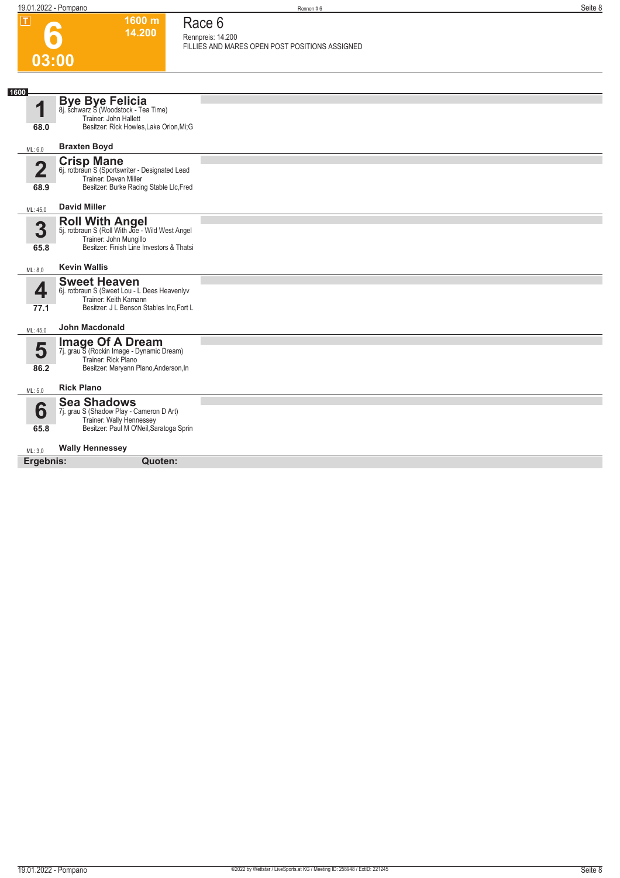| $\overline{L}$          | 1600 m<br>14.200                                                                            | Race 6                                                              |
|-------------------------|---------------------------------------------------------------------------------------------|---------------------------------------------------------------------|
|                         |                                                                                             | Rennpreis: 14.200<br>FILLIES AND MARES OPEN POST POSITIONS ASSIGNED |
| 03:00                   |                                                                                             |                                                                     |
|                         |                                                                                             |                                                                     |
| 1600                    | <b>Bye Bye Felicia</b>                                                                      |                                                                     |
| 1                       | 8j. schwarz S (Woodstock - Tea Time)<br>Trainer: John Hallett                               |                                                                     |
| 68.0                    | Besitzer: Rick Howles, Lake Orion, Mi; G                                                    |                                                                     |
| ML: 6,0                 | <b>Braxten Boyd</b>                                                                         |                                                                     |
| $\overline{\mathbf{2}}$ | Crisp Mane<br>6j. rotbraun S (Sportswriter - Designated Lead                                |                                                                     |
|                         | Trainer: Devan Miller                                                                       |                                                                     |
| 68.9                    | Besitzer: Burke Racing Stable Llc, Fred                                                     |                                                                     |
| ML: 45,0                | <b>David Miller</b>                                                                         |                                                                     |
| 3                       | <b>Roll With Angel</b><br>5j. rotbraun S (Roll With Joe - Wild West Angel                   |                                                                     |
| 65.8                    | Trainer: John Mungillo<br>Besitzer: Finish Line Investors & Thatsi                          |                                                                     |
|                         |                                                                                             |                                                                     |
| ML: 8.0                 | <b>Kevin Wallis</b>                                                                         |                                                                     |
| 4                       | <b>Sweet Heaven</b><br>6j. rotbraun S (Sweet Lou - L Dees Heavenlyv                         |                                                                     |
| 77.1                    | Trainer: Keith Kamann<br>Besitzer: J L Benson Stables Inc, Fort L                           |                                                                     |
| ML: 45,0                | <b>John Macdonald</b>                                                                       |                                                                     |
|                         |                                                                                             |                                                                     |
| 5                       | <b>Image Of A Dream</b><br>7j. grau S (Rockin Image - Dynamic Dream)<br>Trainer: Rick Plano |                                                                     |
| 86.2                    | Besitzer: Maryann Plano, Anderson, In                                                       |                                                                     |
| ML: 5,0                 | <b>Rick Plano</b>                                                                           |                                                                     |
|                         | <b>Sea Shadows</b>                                                                          |                                                                     |
| 6                       | 7j. grau S (Shadow Play - Cameron D Art)<br>Trainer: Wally Hennessey                        |                                                                     |
| 65.8                    | Besitzer: Paul M O'Neil, Saratoga Sprin                                                     |                                                                     |
| ML: 3,0                 | <b>Wally Hennessey</b>                                                                      |                                                                     |
| Ergebnis:               | Quoten:                                                                                     |                                                                     |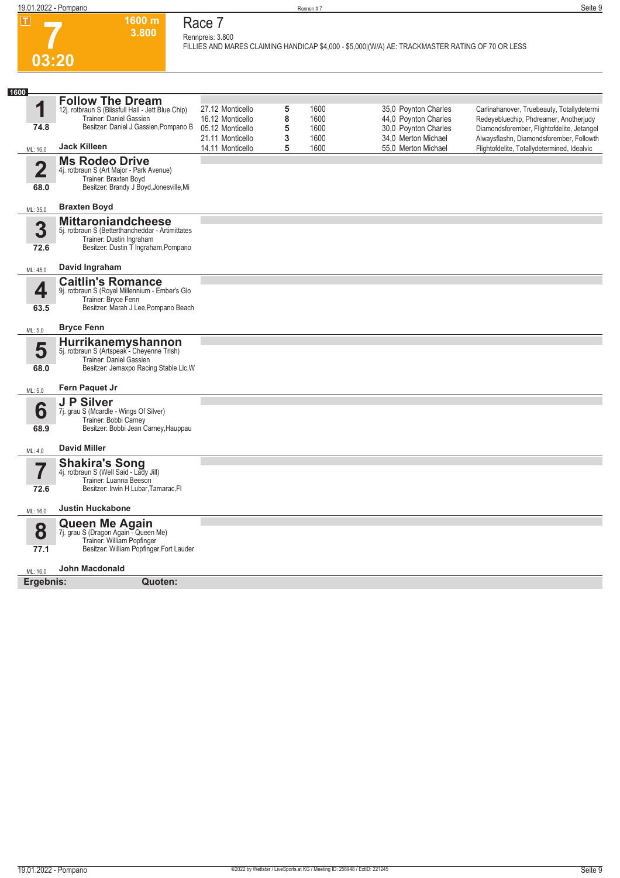

### **Race 7 Rennpreis: 3.800**

**1600 m 3.800** 

**FILLIES AND MARES CLAIMING HANDICAP \$4,000 - \$5,000|(W/A) AE: TRACKMASTER RATING OF 70 OR LESS** 

| 1600                            |                                                                                                                                                   |                                      |        |              |                                              |                                                                                        |
|---------------------------------|---------------------------------------------------------------------------------------------------------------------------------------------------|--------------------------------------|--------|--------------|----------------------------------------------|----------------------------------------------------------------------------------------|
| 1                               | <b>Follow The Dream</b><br>12j. rotbraun S (Blissfull Hall - Jett Blue Chip)<br>Trainer: Daniel Gassien                                           | 27.12 Monticello<br>16.12 Monticello | 5<br>8 | 1600<br>1600 | 35,0 Poynton Charles<br>44,0 Poynton Charles | Carlinahanover, Truebeauty, Totallydetermi<br>Redeyebluechip, Phdreamer, Anotherjudy   |
| 74.8                            | Besitzer: Daniel J Gassien, Pompano B                                                                                                             | 05.12 Monticello<br>21.11 Monticello | 5<br>3 | 1600<br>1600 | 30,0 Poynton Charles<br>34,0 Merton Michael  | Diamondsforember, Flightofdelite, Jetangel<br>Alwaysflashn, Diamondsforember, Followth |
| ML: 16,0                        | <b>Jack Killeen</b>                                                                                                                               | 14.11 Monticello                     | 5      | 1600         | 55,0 Merton Michael                          | Flightofdelite, Totallydetermined, Idealvic                                            |
| $\overline{\mathbf{2}}$<br>68.0 | <b>Ms Rodeo Drive</b><br>4j. rotbraun S (Art Major - Park Avenue)<br>Trainer: Braxten Boyd<br>Besitzer: Brandy J Boyd, Jonesville, Mi             |                                      |        |              |                                              |                                                                                        |
| ML: 35,0                        | <b>Braxten Boyd</b>                                                                                                                               |                                      |        |              |                                              |                                                                                        |
| 3<br>72.6                       | <b>Mittaroniandcheese</b><br>5j. rotbraun S (Betterthancheddar - Artimittates<br>Trainer: Dustin Ingraham<br>Besitzer: Dustin T Ingraham, Pompano |                                      |        |              |                                              |                                                                                        |
| ML: 45,0                        | David Ingraham                                                                                                                                    |                                      |        |              |                                              |                                                                                        |
| 4<br>63.5                       | <b>Caitlin's Romance</b><br>9j. rotbraun S (Royel Millennium - Ember's Glo<br>Trainer: Bryce Fenn<br>Besitzer: Marah J Lee, Pompano Beach         |                                      |        |              |                                              |                                                                                        |
| ML: 5,0                         | <b>Bryce Fenn</b>                                                                                                                                 |                                      |        |              |                                              |                                                                                        |
| 5<br>68.0                       | Hurrikanemyshannon<br>5j. rotbraun S (Artspeak - Cheyenne Trish)<br>Trainer: Daniel Gassien<br>Besitzer: Jemaxpo Racing Stable Llc, W             |                                      |        |              |                                              |                                                                                        |
| ML: 5,0                         | Fern Paquet Jr                                                                                                                                    |                                      |        |              |                                              |                                                                                        |
| 6<br>68.9                       | J P Silver<br>7j. grau S (Mcardle - Wings Of Silver)<br>Trainer: Bobbi Carney<br>Besitzer: Bobbi Jean Carney, Hauppau                             |                                      |        |              |                                              |                                                                                        |
| ML: 4,0                         | <b>David Miller</b>                                                                                                                               |                                      |        |              |                                              |                                                                                        |
| $\overline{\mathbf{7}}$         | <b>Shakira's Song</b><br>4j. rotbraun S (Well Said - Lady Jill)<br>Trainer: Luanna Beeson                                                         |                                      |        |              |                                              |                                                                                        |
| 72.6                            | Besitzer: Irwin H Lubar, Tamarac, FI                                                                                                              |                                      |        |              |                                              |                                                                                        |
| ML: 16,0                        | <b>Justin Huckabone</b>                                                                                                                           |                                      |        |              |                                              |                                                                                        |
| 8<br>77.1                       | <b>Queen Me Again</b><br>7j. grau S (Dragon Again - Queen Me)<br>Trainer: William Popfinger<br>Besitzer: William Popfinger, Fort Lauder           |                                      |        |              |                                              |                                                                                        |
| ML: 16,0                        | John Macdonald                                                                                                                                    |                                      |        |              |                                              |                                                                                        |
| Ergebnis:                       | Quoten:                                                                                                                                           |                                      |        |              |                                              |                                                                                        |
|                                 |                                                                                                                                                   |                                      |        |              |                                              |                                                                                        |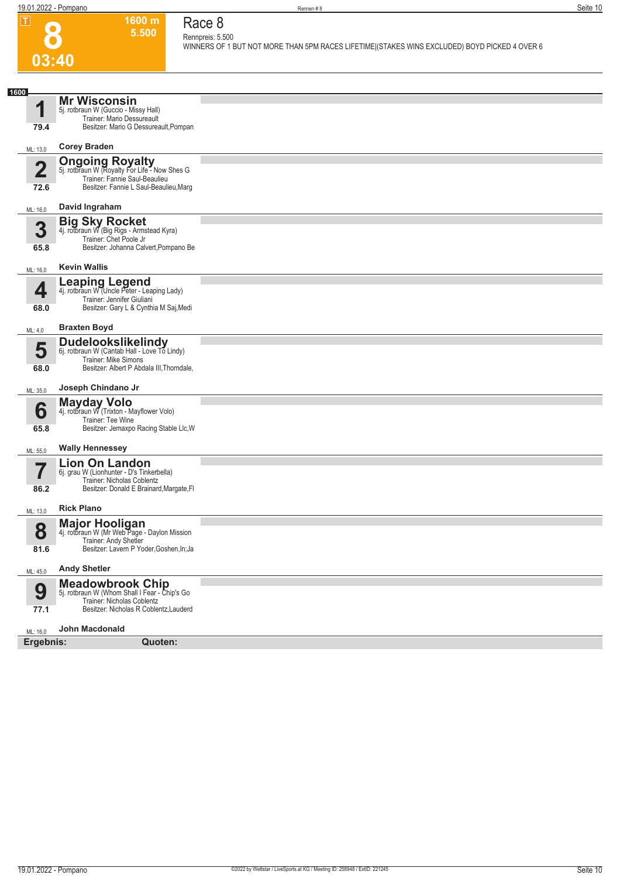**03:40**

**8**

**Race 8 Rennpreis: 5.500**

**1600 m 5.500** 

**WINNERS OF 1 BUT NOT MORE THAN 5PM RACES LIFETIME|(STAKES WINS EXCLUDED) BOYD PICKED 4 OVER 6** 

| 1600                 | <b>Mr Wisconsin</b>                                                       |  |
|----------------------|---------------------------------------------------------------------------|--|
| $\blacktriangleleft$ | 5j. rotbraun W (Guccio - Missy Hall)<br>Trainer: Mario Dessureault        |  |
| 79.4                 | Besitzer: Mario G Dessureault, Pompan                                     |  |
| ML: 13,0             | <b>Corey Braden</b>                                                       |  |
|                      | <b>Ongoing Royalty</b><br>5j. rotbraun W (Royalty For Life - Now Shes G   |  |
| $\overline{2}$       | Trainer: Fannie Saul-Beaulieu                                             |  |
| 72.6                 | Besitzer: Fannie L Saul-Beaulieu, Marg                                    |  |
| ML: 16,0             | David Ingraham                                                            |  |
| 3                    | <b>Big Sky Rocket</b><br>4j. rotbraun W (Big Rigs - Armstead Kyra)        |  |
|                      | Trainer: Chet Poole Jr                                                    |  |
| 65.8                 | Besitzer: Johanna Calvert, Pompano Be                                     |  |
| ML: 16,0             | <b>Kevin Wallis</b>                                                       |  |
|                      | <b>Leaping Legend</b><br>4j. rotbraun W (Uncle Peter - Leaping Lady)      |  |
| 4                    | Trainer: Jennifer Giuliani                                                |  |
| 68.0                 | Besitzer: Gary L & Cynthia M Saj, Medi                                    |  |
| ML: 4,0              | <b>Braxten Boyd</b>                                                       |  |
| 5                    | <b>Dudelookslikelindy</b><br>6j. rotbraun W (Cantab Hall - Love To Lindy) |  |
|                      | Trainer: Mike Simons                                                      |  |
| 68.0                 | Besitzer: Albert P Abdala III, Thorndale,                                 |  |
| ML: 35,0             | Joseph Chindano Jr                                                        |  |
| 6                    | Mayday Volo<br>4j. rotbraun W (Trixton - Mayflower Volo)                  |  |
|                      | Trainer: Tee Wine                                                         |  |
| 65.8                 | Besitzer: Jemaxpo Racing Stable Llc, W                                    |  |
| ML: 55,0             | <b>Wally Hennessey</b>                                                    |  |
| 7                    | <b>Lion On Landon</b><br>6j. grau W (Lionhunter - D's Tinkerbella)        |  |
|                      | Trainer: Nicholas Coblentz                                                |  |
| 86.2                 | Besitzer: Donald E Brainard, Margate, FI                                  |  |
| ML: 13,0             | <b>Rick Plano</b>                                                         |  |
| 8                    | <b>Major Hooligan</b><br>4j. rotbraun W (Mr Web Page - Daylon Mission     |  |
|                      | Trainer: Andy Shetler                                                     |  |
| 81.6                 | Besitzer: Lavern P Yoder, Goshen, In; Ja                                  |  |
| ML: 45,0             | <b>Andy Shetler</b>                                                       |  |
| 9                    | <b>Meadowbrook Chip</b><br>5j. rotbraun W (Whom Shall I Fear - Chip's Go  |  |
| 77.1                 | Trainer: Nicholas Coblentz<br>Besitzer: Nicholas R Coblentz, Lauderd      |  |
|                      |                                                                           |  |
| ML: 16,0             | <b>John Macdonald</b>                                                     |  |
| Ergebnis:            | Quoten:                                                                   |  |